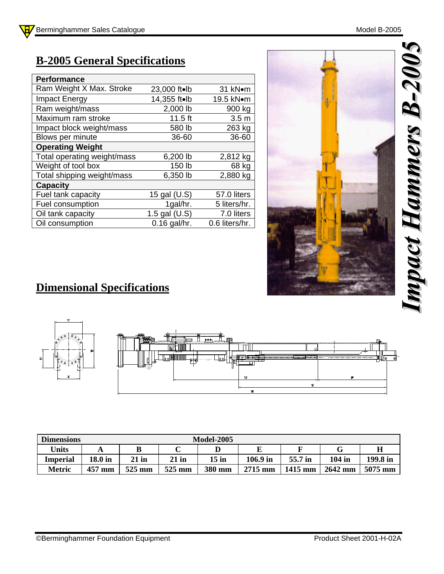## **B-2005 General Specifications**

| <b>Performance</b>          |                |                  |
|-----------------------------|----------------|------------------|
| Ram Weight X Max. Stroke    | 23,000 ft•lb   | 31 kNom          |
| Impact Energy               | 14,355 ft•lb   | 19.5 kN•m        |
| Ram weight/mass             | 2,000 lb       | 900 kg           |
| Maximum ram stroke          | $11.5$ ft      | 3.5 <sub>m</sub> |
| Impact block weight/mass    | 580 lb         | 263 kg           |
| Blows per minute            | 36-60          | 36-60            |
| <b>Operating Weight</b>     |                |                  |
| Total operating weight/mass | 6,200 lb       | 2,812 kg         |
| Weight of tool box          | 150 lb         | 68 kg            |
| Total shipping weight/mass  | 6,350 lb       | 2,880 kg         |
| <b>Capacity</b>             |                |                  |
| Fuel tank capacity          | 15 gal (U.S)   | 57.0 liters      |
| Fuel consumption            | 1gal/hr.       | 5 liters/hr.     |
| Oil tank capacity           | 1.5 gal (U.S)  | 7.0 liters       |
| Oil consumption             | $0.16$ gal/hr. | 0.6 liters/hr.   |



## **Dimensional Specifications**



| <b>Dimensions</b> |           | <b>Model-2005</b> |         |        |           |         |          |          |  |  |
|-------------------|-----------|-------------------|---------|--------|-----------|---------|----------|----------|--|--|
| <b>Units</b>      |           |                   |         |        |           |         |          |          |  |  |
| <b>Imperial</b>   | $18.0$ in | $21$ in           | $21$ in | 15 in  | 106.9 in  | 55.7 in | $104$ in | 199.8 in |  |  |
| Metric            | 457 mm    | 525 mm            | 525 mm  | 380 mm | $2715$ mm | 1415 mm | 2642 mm  | 5075 mm  |  |  |